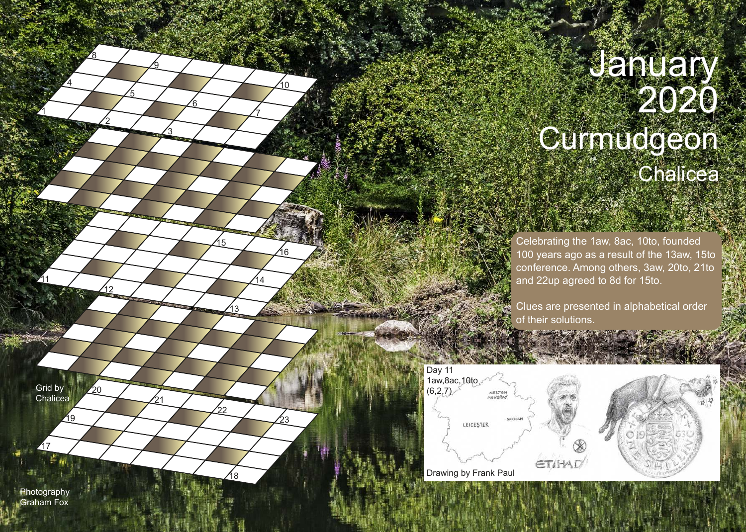## January 2020 **Curmudgeon Chalicea**

Celebrating the 1aw, 8ac, 10to, founded 100 years ago as a result of the 13aw, 15to conference. Among others, 3aw, 20to, 21to and 22up agreed to 8d for 15to.

Clues are presented in alphabetical order of their solutions.



Grid by **Chalicea** 

19

 $20<sup>2</sup>$ 

21

11

1

4

2

ััก

<u>8ع</u>

5

3

9

<u>6</u>

7

13

18

22

15

14

16

23

10

Photography Graham Fox

32 S

17